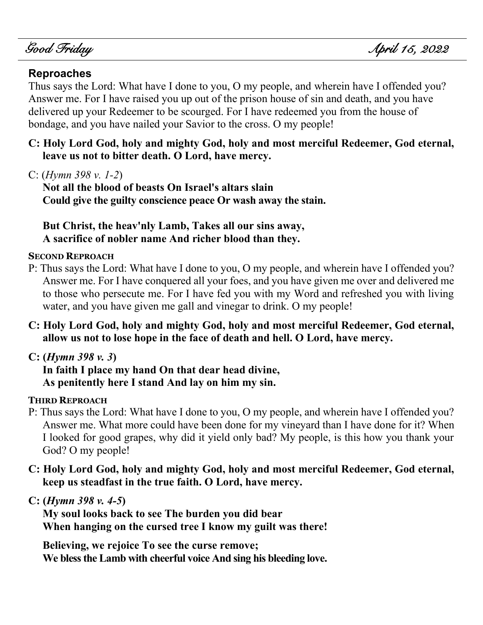j

### **Reproaches**

Thus says the Lord: What have I done to you, O my people, and wherein have I offended you? Answer me. For I have raised you up out of the prison house of sin and death, and you have delivered up your Redeemer to be scourged. For I have redeemed you from the house of bondage, and you have nailed your Savior to the cross. O my people!

**C: Holy Lord God, holy and mighty God, holy and most merciful Redeemer, God eternal, leave us not to bitter death. O Lord, have mercy.**

C: (*Hymn 398 v. 1-2*)

**Not all the blood of beasts On Israel's altars slain Could give the guilty conscience peace Or wash away the stain.**

**But Christ, the heav'nly Lamb, Takes all our sins away, A sacrifice of nobler name And richer blood than they.**

#### **SECOND REPROACH**

- P: Thus says the Lord: What have I done to you, O my people, and wherein have I offended you? Answer me. For I have conquered all your foes, and you have given me over and delivered me to those who persecute me. For I have fed you with my Word and refreshed you with living water, and you have given me gall and vinegar to drink. O my people!
- **C: Holy Lord God, holy and mighty God, holy and most merciful Redeemer, God eternal, allow us not to lose hope in the face of death and hell. O Lord, have mercy.**

### **C: (***Hymn 398 v. 3***)**

**In faith I place my hand On that dear head divine, As penitently here I stand And lay on him my sin.**

#### **THIRD REPROACH**

- P: Thus says the Lord: What have I done to you, O my people, and wherein have I offended you? Answer me. What more could have been done for my vineyard than I have done for it? When I looked for good grapes, why did it yield only bad? My people, is this how you thank your God? O my people!
- **C: Holy Lord God, holy and mighty God, holy and most merciful Redeemer, God eternal, keep us steadfast in the true faith. O Lord, have mercy.**

**C: (***Hymn 398 v. 4-5***)**

**My soul looks back to see The burden you did bear When hanging on the cursed tree I know my guilt was there!**

**Believing, we rejoice To see the curse remove; We bless the Lamb with cheerful voice And sing his bleeding love.**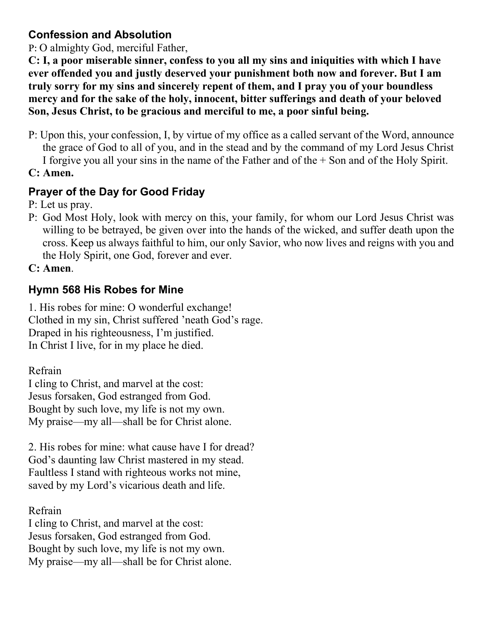## **Confession and Absolution**

P: O almighty God, merciful Father,

**C: I, a poor miserable sinner, confess to you all my sins and iniquities with which I have ever offended you and justly deserved your punishment both now and forever. But I am truly sorry for my sins and sincerely repent of them, and I pray you of your boundless mercy and for the sake of the holy, innocent, bitter sufferings and death of your beloved Son, Jesus Christ, to be gracious and merciful to me, a poor sinful being.**

P: Upon this, your confession, I, by virtue of my office as a called servant of the Word, announce the grace of God to all of you, and in the stead and by the command of my Lord Jesus Christ I forgive you all your sins in the name of the Father and of the + Son and of the Holy Spirit.

**C: Amen.**

# **Prayer of the Day for Good Friday**

P: Let us pray.

P: God Most Holy, look with mercy on this, your family, for whom our Lord Jesus Christ was willing to be betrayed, be given over into the hands of the wicked, and suffer death upon the cross. Keep us always faithful to him, our only Savior, who now lives and reigns with you and the Holy Spirit, one God, forever and ever.

**C: Amen**.

# **Hymn 568 His Robes for Mine**

1. His robes for mine: O wonderful exchange! Clothed in my sin, Christ suffered 'neath God's rage. Draped in his righteousness, I'm justified. In Christ I live, for in my place he died.

Refrain

I cling to Christ, and marvel at the cost: Jesus forsaken, God estranged from God. Bought by such love, my life is not my own. My praise—my all—shall be for Christ alone.

2. His robes for mine: what cause have I for dread? God's daunting law Christ mastered in my stead. Faultless I stand with righteous works not mine, saved by my Lord's vicarious death and life.

Refrain

I cling to Christ, and marvel at the cost: Jesus forsaken, God estranged from God. Bought by such love, my life is not my own. My praise—my all—shall be for Christ alone.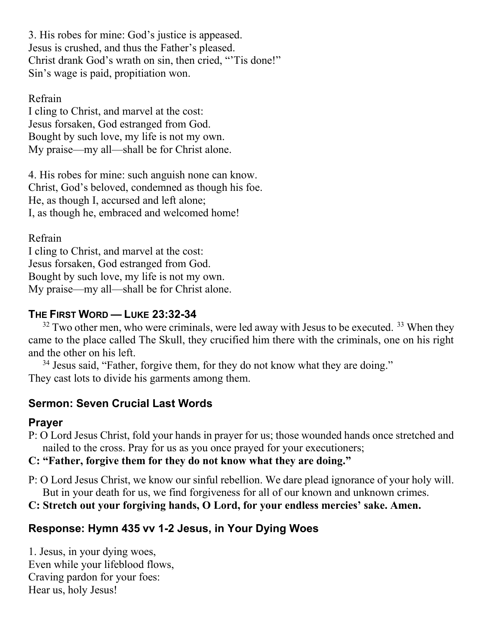3. His robes for mine: God's justice is appeased. Jesus is crushed, and thus the Father's pleased. Christ drank God's wrath on sin, then cried, "'Tis done!" Sin's wage is paid, propitiation won.

### Refrain

I cling to Christ, and marvel at the cost: Jesus forsaken, God estranged from God. Bought by such love, my life is not my own. My praise—my all—shall be for Christ alone.

4. His robes for mine: such anguish none can know. Christ, God's beloved, condemned as though his foe. He, as though I, accursed and left alone; I, as though he, embraced and welcomed home!

### Refrain

I cling to Christ, and marvel at the cost: Jesus forsaken, God estranged from God. Bought by such love, my life is not my own. My praise—my all—shall be for Christ alone.

### **THE FIRST WORD — LUKE 23:32-34**

 $32$  Two other men, who were criminals, were led away with Jesus to be executed.  $33$  When they came to the place called The Skull, they crucified him there with the criminals, one on his right and the other on his left.

<sup>34</sup> Jesus said, "Father, forgive them, for they do not know what they are doing." They cast lots to divide his garments among them.

## **Sermon: Seven Crucial Last Words**

## **Prayer**

P: O Lord Jesus Christ, fold your hands in prayer for us; those wounded hands once stretched and nailed to the cross. Pray for us as you once prayed for your executioners;

### **C: "Father, forgive them for they do not know what they are doing."**

- P: O Lord Jesus Christ, we know our sinful rebellion. We dare plead ignorance of your holy will. But in your death for us, we find forgiveness for all of our known and unknown crimes.
- **C: Stretch out your forgiving hands, O Lord, for your endless mercies' sake. Amen.**

# **Response: Hymn 435 vv 1-2 Jesus, in Your Dying Woes**

1. Jesus, in your dying woes, Even while your lifeblood flows, Craving pardon for your foes: Hear us, holy Jesus!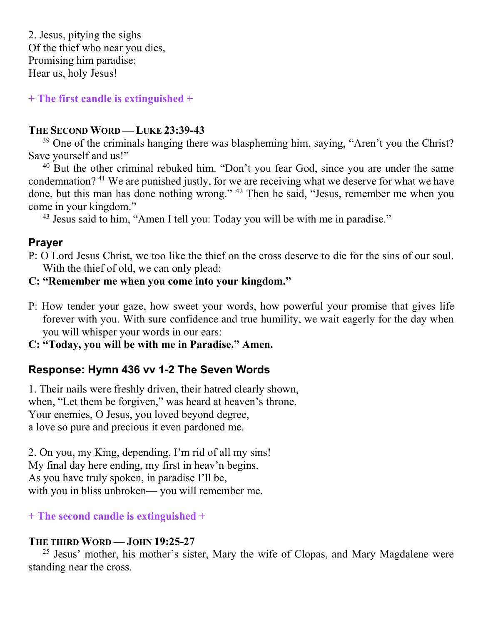2. Jesus, pitying the sighs Of the thief who near you dies, Promising him paradise: Hear us, holy Jesus!

**+ The first candle is extinguished +**

### **THE SECOND WORD — LUKE 23:39-43**

 $39$  One of the criminals hanging there was blaspheming him, saying, "Aren't you the Christ? Save yourself and us!"

<sup>40</sup> But the other criminal rebuked him. "Don't you fear God, since you are under the same condemnation? <sup>41</sup> We are punished justly, for we are receiving what we deserve for what we have done, but this man has done nothing wrong." <sup>42</sup> Then he said, "Jesus, remember me when you come in your kingdom."

<sup>43</sup> Jesus said to him, "Amen I tell you: Today you will be with me in paradise."

### **Prayer**

P: O Lord Jesus Christ, we too like the thief on the cross deserve to die for the sins of our soul. With the thief of old, we can only plead:

#### **C: "Remember me when you come into your kingdom."**

P: How tender your gaze, how sweet your words, how powerful your promise that gives life forever with you. With sure confidence and true humility, we wait eagerly for the day when you will whisper your words in our ears:

**C: "Today, you will be with me in Paradise." Amen.**

## **Response: Hymn 436 vv 1-2 The Seven Words**

1. Their nails were freshly driven, their hatred clearly shown, when, "Let them be forgiven," was heard at heaven's throne. Your enemies, O Jesus, you loved beyond degree, a love so pure and precious it even pardoned me.

2. On you, my King, depending, I'm rid of all my sins! My final day here ending, my first in heav'n begins. As you have truly spoken, in paradise I'll be, with you in bliss unbroken— you will remember me.

### **+ The second candle is extinguished +**

### **THE THIRD WORD — JOHN 19:25-27**

 $25$  Jesus' mother, his mother's sister, Mary the wife of Clopas, and Mary Magdalene were standing near the cross.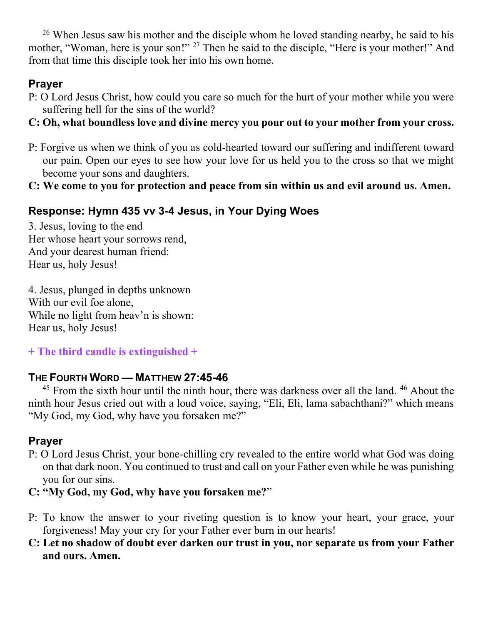$26$  When Jesus saw his mother and the disciple whom he loved standing nearby, he said to his mother, "Woman, here is your son!" <sup>27</sup> Then he said to the disciple, "Here is your mother!" And from that time this disciple took her into his own home.

# **Prayer**

- P: O Lord Jesus Christ, how could you care so much for the hurt of your mother while you were suffering hell for the sins of the world?
- **C: Oh, what boundless love and divine mercy you pour out to your mother from your cross.**
- P: Forgive us when we think of you as cold-hearted toward our suffering and indifferent toward our pain. Open our eyes to see how your love for us held you to the cross so that we might become your sons and daughters.
- **C: We come to you for protection and peace from sin within us and evil around us. Amen.**

# **Response: Hymn 435 vv 3-4 Jesus, in Your Dying Woes**

3. Jesus, loving to the end Her whose heart your sorrows rend, And your dearest human friend: Hear us, holy Jesus!

4. Jesus, plunged in depths unknown With our evil foe alone, While no light from heav'n is shown: Hear us, holy Jesus!

# **+ The third candle is extinguished +**

# **THE FOURTH WORD — MATTHEW 27:45-46**

 $45$  From the sixth hour until the ninth hour, there was darkness over all the land.  $46$  About the ninth hour Jesus cried out with a loud voice, saying, "Eli, Eli, lama sabachthani?" which means "My God, my God, why have you forsaken me?"

# **Prayer**

P: O Lord Jesus Christ, your bone-chilling cry revealed to the entire world what God was doing on that dark noon. You continued to trust and call on your Father even while he was punishing you for our sins.

## **C: "My God, my God, why have you forsaken me?**"

- P: To know the answer to your riveting question is to know your heart, your grace, your forgiveness! May your cry for your Father ever burn in our hearts!
- **C: Let no shadow of doubt ever darken our trust in you, nor separate us from your Father and ours. Amen.**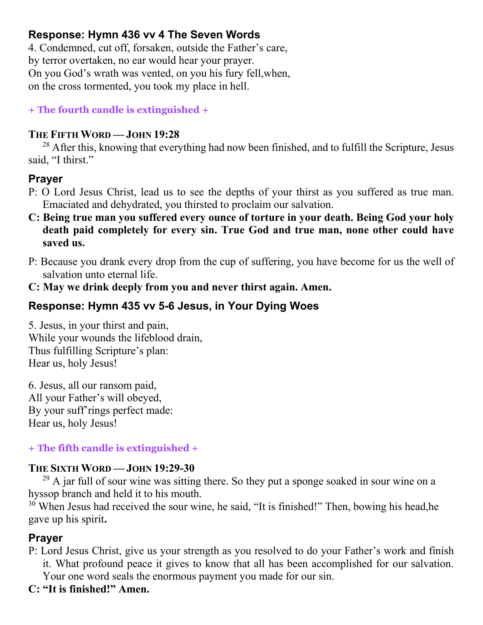## **Response: Hymn 436 vv 4 The Seven Words**

4. Condemned, cut off, forsaken, outside the Father's care, by terror overtaken, no ear would hear your prayer. On you God's wrath was vented, on you his fury fell,when, on the cross tormented, you took my place in hell.

**+ The fourth candle is extinguished +**

#### **THE FIFTH WORD — JOHN 19:28**

<sup>28</sup> After this, knowing that everything had now been finished, and to fulfill the Scripture, Jesus said, "I thirst."

## **Prayer**

- P: O Lord Jesus Christ, lead us to see the depths of your thirst as you suffered as true man. Emaciated and dehydrated, you thirsted to proclaim our salvation.
- **C: Being true man you suffered every ounce of torture in your death. Being God your holy death paid completely for every sin. True God and true man, none other could have saved us.**
- P: Because you drank every drop from the cup of suffering, you have become for us the well of salvation unto eternal life.
- **C: May we drink deeply from you and never thirst again. Amen.**

## **Response: Hymn 435 vv 5-6 Jesus, in Your Dying Woes**

5. Jesus, in your thirst and pain, While your wounds the lifeblood drain, Thus fulfilling Scripture's plan: Hear us, holy Jesus!

6. Jesus, all our ransom paid, All your Father's will obeyed, By your suff'rings perfect made: Hear us, holy Jesus!

### **+ The fifth candle is extinguished +**

### **THE SIXTH WORD — JOHN 19:29-30**

 $^{29}$  A jar full of sour wine was sitting there. So they put a sponge soaked in sour wine on a hyssop branch and held it to his mouth.

<sup>30</sup> When Jesus had received the sour wine, he said, "It is finished!" Then, bowing his head,he gave up his spirit**.**

## **Prayer**

P: Lord Jesus Christ, give us your strength as you resolved to do your Father's work and finish it. What profound peace it gives to know that all has been accomplished for our salvation. Your one word seals the enormous payment you made for our sin.

## **C: "It is finished!" Amen.**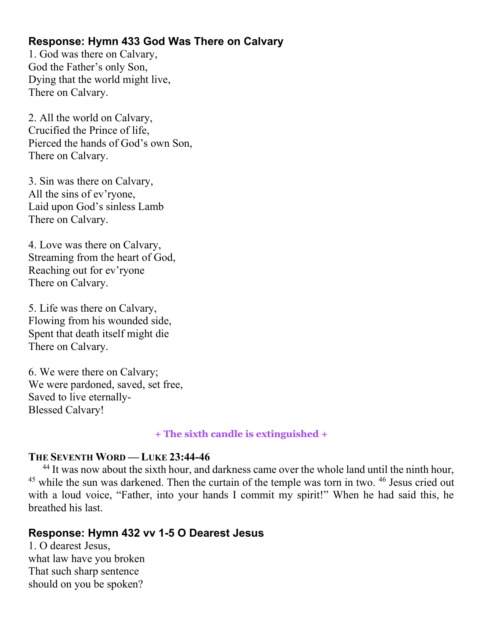## **Response: Hymn 433 God Was There on Calvary**

1. God was there on Calvary, God the Father's only Son, Dying that the world might live, There on Calvary.

2. All the world on Calvary, Crucified the Prince of life, Pierced the hands of God's own Son, There on Calvary.

3. Sin was there on Calvary, All the sins of ev'ryone, Laid upon God's sinless Lamb There on Calvary.

4. Love was there on Calvary, Streaming from the heart of God, Reaching out for ev'ryone There on Calvary.

5. Life was there on Calvary, Flowing from his wounded side, Spent that death itself might die There on Calvary.

6. We were there on Calvary; We were pardoned, saved, set free, Saved to live eternally-Blessed Calvary!

#### **+ The sixth candle is extinguished +**

#### **THE SEVENTH WORD — LUKE 23:44-46**

<sup>44</sup> It was now about the sixth hour, and darkness came over the whole land until the ninth hour,  $45$  while the sun was darkened. Then the curtain of the temple was torn in two.  $46$  Jesus cried out with a loud voice, "Father, into your hands I commit my spirit!" When he had said this, he breathed his last.

### **Response: Hymn 432 vv 1-5 O Dearest Jesus**

1. O dearest Jesus, what law have you broken That such sharp sentence should on you be spoken?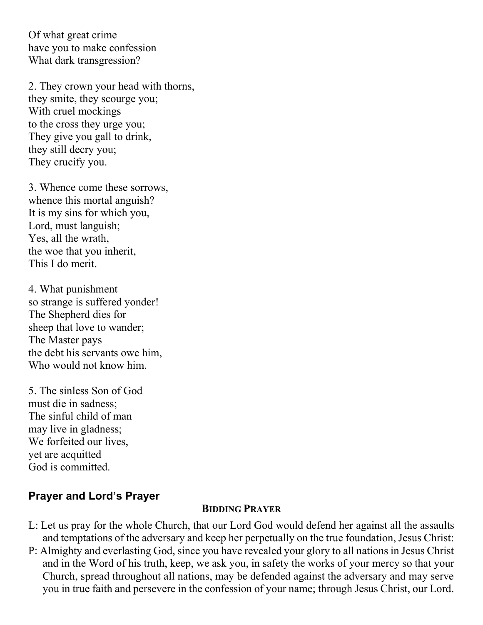Of what great crime have you to make confession What dark transgression?

2. They crown your head with thorns, they smite, they scourge you; With cruel mockings to the cross they urge you; They give you gall to drink, they still decry you; They crucify you.

3. Whence come these sorrows, whence this mortal anguish? It is my sins for which you, Lord, must languish; Yes, all the wrath, the woe that you inherit, This I do merit.

4. What punishment so strange is suffered yonder! The Shepherd dies for sheep that love to wander; The Master pays the debt his servants owe him, Who would not know him.

5. The sinless Son of God must die in sadness; The sinful child of man may live in gladness; We forfeited our lives, yet are acquitted God is committed.

### **Prayer and Lord's Prayer**

#### **BIDDING PRAYER**

- L: Let us pray for the whole Church, that our Lord God would defend her against all the assaults and temptations of the adversary and keep her perpetually on the true foundation, Jesus Christ:
- P: Almighty and everlasting God, since you have revealed your glory to all nations in Jesus Christ and in the Word of his truth, keep, we ask you, in safety the works of your mercy so that your Church, spread throughout all nations, may be defended against the adversary and may serve you in true faith and persevere in the confession of your name; through Jesus Christ, our Lord.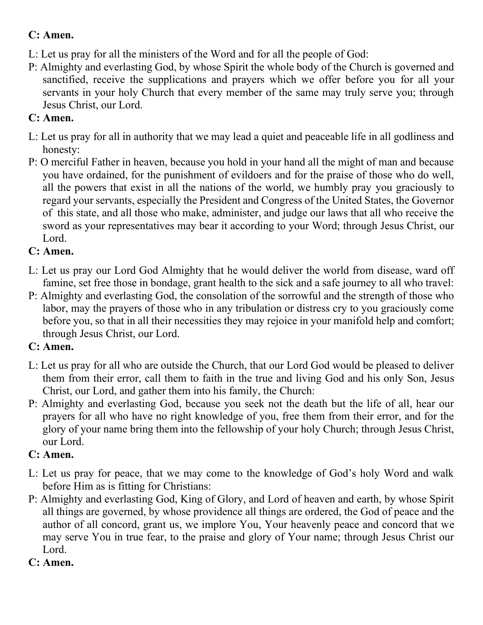# **C: Amen.**

- L: Let us pray for all the ministers of the Word and for all the people of God:
- P: Almighty and everlasting God, by whose Spirit the whole body of the Church is governed and sanctified, receive the supplications and prayers which we offer before you for all your servants in your holy Church that every member of the same may truly serve you; through Jesus Christ, our Lord.

# **C: Amen.**

- L: Let us pray for all in authority that we may lead a quiet and peaceable life in all godliness and honesty:
- P: O merciful Father in heaven, because you hold in your hand all the might of man and because you have ordained, for the punishment of evildoers and for the praise of those who do well, all the powers that exist in all the nations of the world, we humbly pray you graciously to regard your servants, especially the President and Congress of the United States, the Governor of this state, and all those who make, administer, and judge our laws that all who receive the sword as your representatives may bear it according to your Word; through Jesus Christ, our Lord.

# **C: Amen.**

- L: Let us pray our Lord God Almighty that he would deliver the world from disease, ward off famine, set free those in bondage, grant health to the sick and a safe journey to all who travel:
- P: Almighty and everlasting God, the consolation of the sorrowful and the strength of those who labor, may the prayers of those who in any tribulation or distress cry to you graciously come before you, so that in all their necessities they may rejoice in your manifold help and comfort; through Jesus Christ, our Lord.

# **C: Amen.**

- L: Let us pray for all who are outside the Church, that our Lord God would be pleased to deliver them from their error, call them to faith in the true and living God and his only Son, Jesus Christ, our Lord, and gather them into his family, the Church:
- P: Almighty and everlasting God, because you seek not the death but the life of all, hear our prayers for all who have no right knowledge of you, free them from their error, and for the glory of your name bring them into the fellowship of your holy Church; through Jesus Christ, our Lord.

# **C: Amen.**

- L: Let us pray for peace, that we may come to the knowledge of God's holy Word and walk before Him as is fitting for Christians:
- P: Almighty and everlasting God, King of Glory, and Lord of heaven and earth, by whose Spirit all things are governed, by whose providence all things are ordered, the God of peace and the author of all concord, grant us, we implore You, Your heavenly peace and concord that we may serve You in true fear, to the praise and glory of Your name; through Jesus Christ our Lord.

# **C: Amen.**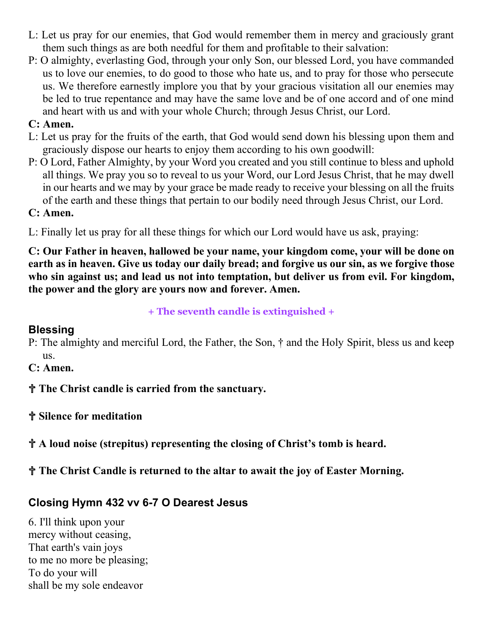- L: Let us pray for our enemies, that God would remember them in mercy and graciously grant them such things as are both needful for them and profitable to their salvation:
- P: O almighty, everlasting God, through your only Son, our blessed Lord, you have commanded us to love our enemies, to do good to those who hate us, and to pray for those who persecute us. We therefore earnestly implore you that by your gracious visitation all our enemies may be led to true repentance and may have the same love and be of one accord and of one mind and heart with us and with your whole Church; through Jesus Christ, our Lord.

### **C: Amen.**

- L: Let us pray for the fruits of the earth, that God would send down his blessing upon them and graciously dispose our hearts to enjoy them according to his own goodwill:
- P: O Lord, Father Almighty, by your Word you created and you still continue to bless and uphold all things. We pray you so to reveal to us your Word, our Lord Jesus Christ, that he may dwell in our hearts and we may by your grace be made ready to receive your blessing on all the fruits of the earth and these things that pertain to our bodily need through Jesus Christ, our Lord.

#### **C: Amen.**

L: Finally let us pray for all these things for which our Lord would have us ask, praying:

**C: Our Father in heaven, hallowed be your name, your kingdom come, your will be done on earth as in heaven. Give us today our daily bread; and forgive us our sin, as we forgive those who sin against us; and lead us not into temptation, but deliver us from evil. For kingdom, the power and the glory are yours now and forever. Amen.**

**+ The seventh candle is extinguished +**

## **Blessing**

- P: The almighty and merciful Lord, the Father, the Son, † and the Holy Spirit, bless us and keep us.
- **C: Amen.**
- ✞ **The Christ candle is carried from the sanctuary.**
- ✞ **Silence for meditation**
- ✞ **A loud noise (strepitus) representing the closing of Christ's tomb is heard.**
- ✞ **The Christ Candle is returned to the altar to await the joy of Easter Morning.**

## **Closing Hymn 432 vv 6-7 O Dearest Jesus**

6. I'll think upon your mercy without ceasing, That earth's vain joys to me no more be pleasing; To do your will shall be my sole endeavor